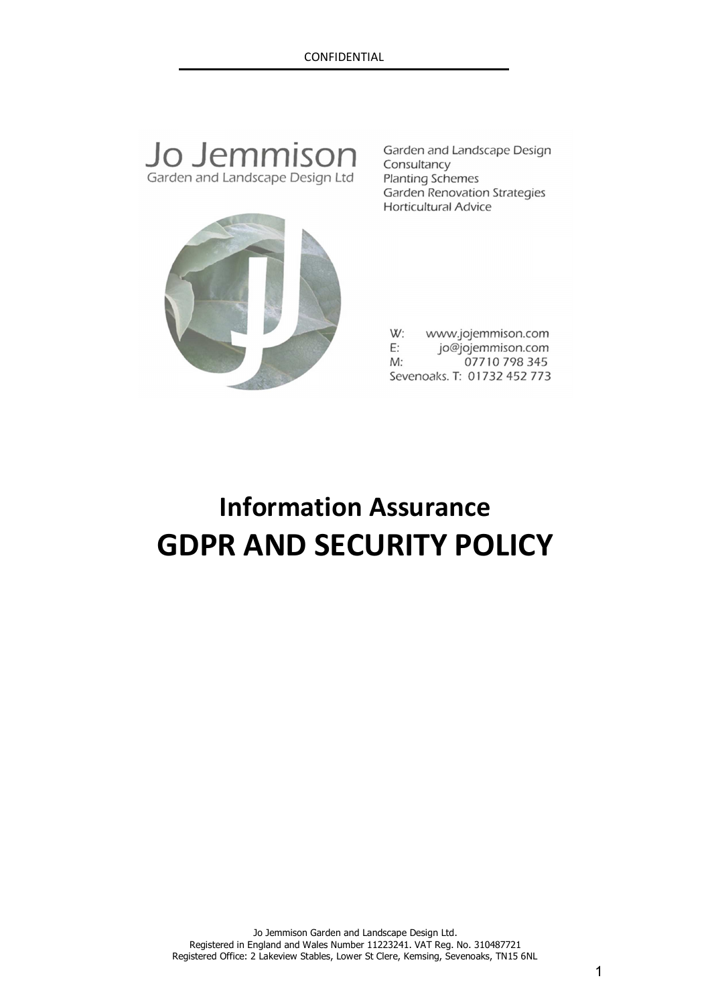## Jo Jemmison Garden and Landscape Design Ltd

Garden and Landscape Design Consultancy **Planting Schemes** Garden Renovation Strategies **Horticultural Advice** 



W: www.jojemmison.com  $E$ : jo@jojemmison.com  $M:$ 07710 798 345 Sevenoaks. T: 01732 452 773

# **Information Assurance GDPR AND SECURITY POLICY**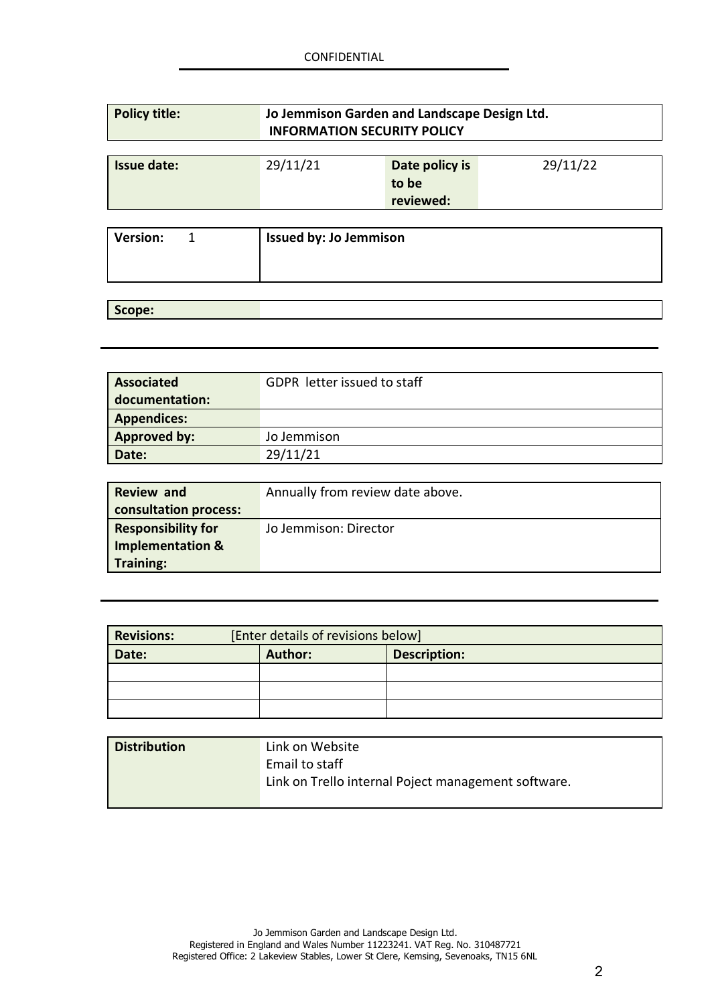| <b>Policy title:</b> | Jo Jemmison Garden and Landscape Design Ltd.<br><b>INFORMATION SECURITY POLICY</b> |                                                  |
|----------------------|------------------------------------------------------------------------------------|--------------------------------------------------|
| <b>Issue date:</b>   | 29/11/21                                                                           | 29/11/22<br>Date policy is<br>to be<br>reviewed: |
| <b>Version:</b>      | <b>Issued by: Jo Jemmison</b>                                                      |                                                  |

## **Scope:**

| <b>Associated</b>   | <b>GDPR</b> letter issued to staff |
|---------------------|------------------------------------|
| documentation:      |                                    |
| <b>Appendices:</b>  |                                    |
| <b>Approved by:</b> | Jo Jemmison                        |
| Date:               | 29/11/21                           |

| <b>Review and</b>           | Annually from review date above. |
|-----------------------------|----------------------------------|
| consultation process:       |                                  |
| <b>Responsibility for</b>   | Jo Jemmison: Director            |
| <b>Implementation &amp;</b> |                                  |
| <b>Training:</b>            |                                  |

| <b>Revisions:</b> |                | [Enter details of revisions below] |
|-------------------|----------------|------------------------------------|
| Date:             | <b>Author:</b> | <b>Description:</b>                |
|                   |                |                                    |
|                   |                |                                    |
|                   |                |                                    |

| <b>Distribution</b> | Link on Website                                     |
|---------------------|-----------------------------------------------------|
|                     | Email to staff                                      |
|                     | Link on Trello internal Poject management software. |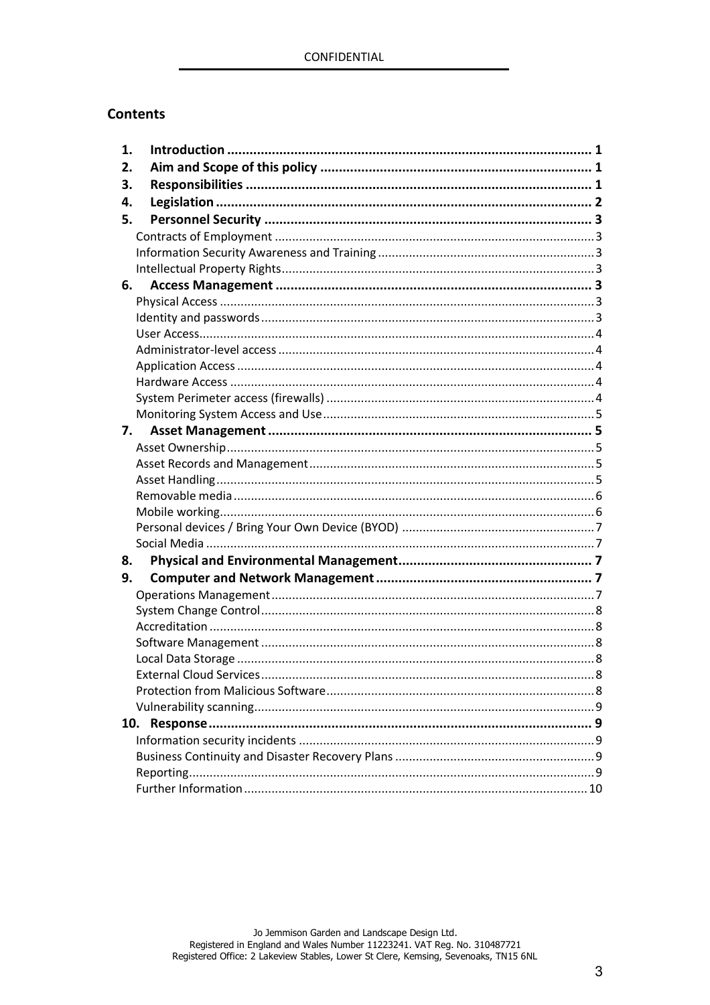## **Contents**

| 1. |                          |   |
|----|--------------------------|---|
| 2. |                          |   |
| 3. |                          |   |
| 4. |                          |   |
| 5. |                          |   |
|    |                          |   |
|    |                          |   |
|    |                          |   |
| 6. |                          |   |
|    |                          |   |
|    |                          |   |
|    |                          |   |
|    |                          |   |
|    |                          |   |
|    |                          |   |
|    |                          |   |
|    |                          |   |
| 7. |                          |   |
|    |                          |   |
|    |                          |   |
|    |                          |   |
|    |                          |   |
|    |                          |   |
|    |                          |   |
|    |                          |   |
| 8. |                          |   |
| 9. |                          |   |
|    |                          |   |
|    |                          |   |
|    |                          |   |
|    |                          |   |
|    |                          |   |
|    | External Cloud Services. | 8 |
|    |                          |   |
|    |                          |   |
|    |                          |   |
|    |                          |   |
|    |                          |   |
|    |                          |   |
|    |                          |   |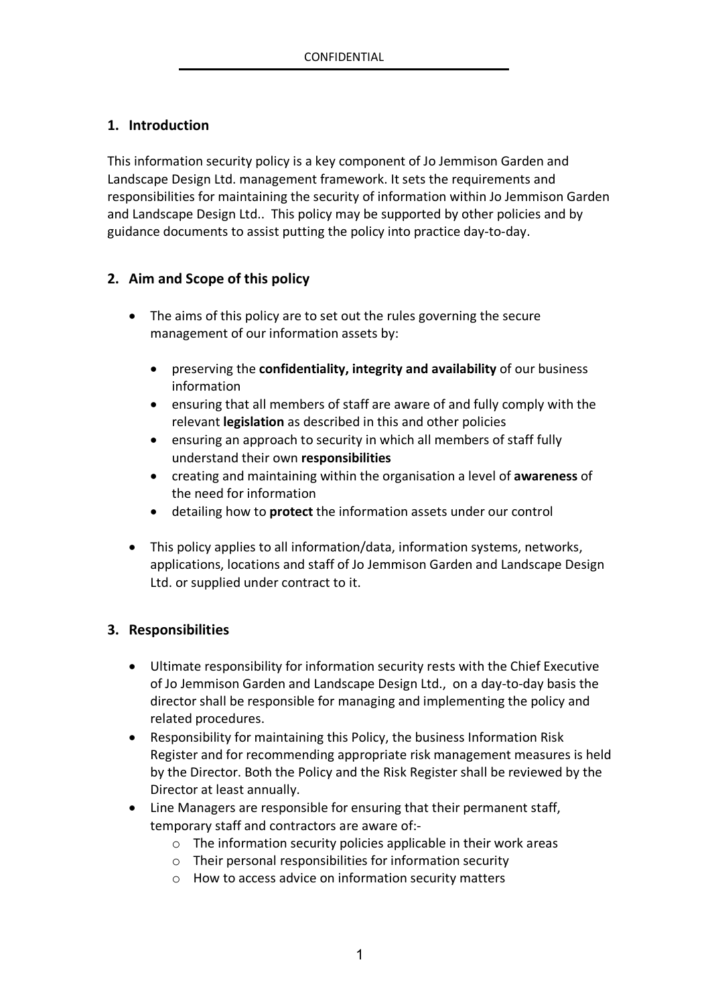## **1. Introduction**

This information security policy is a key component of Jo Jemmison Garden and Landscape Design Ltd. management framework. It sets the requirements and responsibilities for maintaining the security of information within Jo Jemmison Garden and Landscape Design Ltd.. This policy may be supported by other policies and by guidance documents to assist putting the policy into practice day-to-day.

## **2. Aim and Scope of this policy**

- The aims of this policy are to set out the rules governing the secure management of our information assets by:
	- preserving the **confidentiality, integrity and availability** of our business information
	- ensuring that all members of staff are aware of and fully comply with the relevant **legislation** as described in this and other policies
	- ensuring an approach to security in which all members of staff fully understand their own **responsibilities**
	- creating and maintaining within the organisation a level of **awareness** of the need for information
	- detailing how to **protect** the information assets under our control
- This policy applies to all information/data, information systems, networks, applications, locations and staff of Jo Jemmison Garden and Landscape Design Ltd. or supplied under contract to it.

## **3. Responsibilities**

- Ultimate responsibility for information security rests with the Chief Executive of Jo Jemmison Garden and Landscape Design Ltd., on a day-to-day basis the director shall be responsible for managing and implementing the policy and related procedures.
- Responsibility for maintaining this Policy, the business Information Risk Register and for recommending appropriate risk management measures is held by the Director. Both the Policy and the Risk Register shall be reviewed by the Director at least annually.
- Line Managers are responsible for ensuring that their permanent staff, temporary staff and contractors are aware of:
	- o The information security policies applicable in their work areas
	- o Their personal responsibilities for information security
	- o How to access advice on information security matters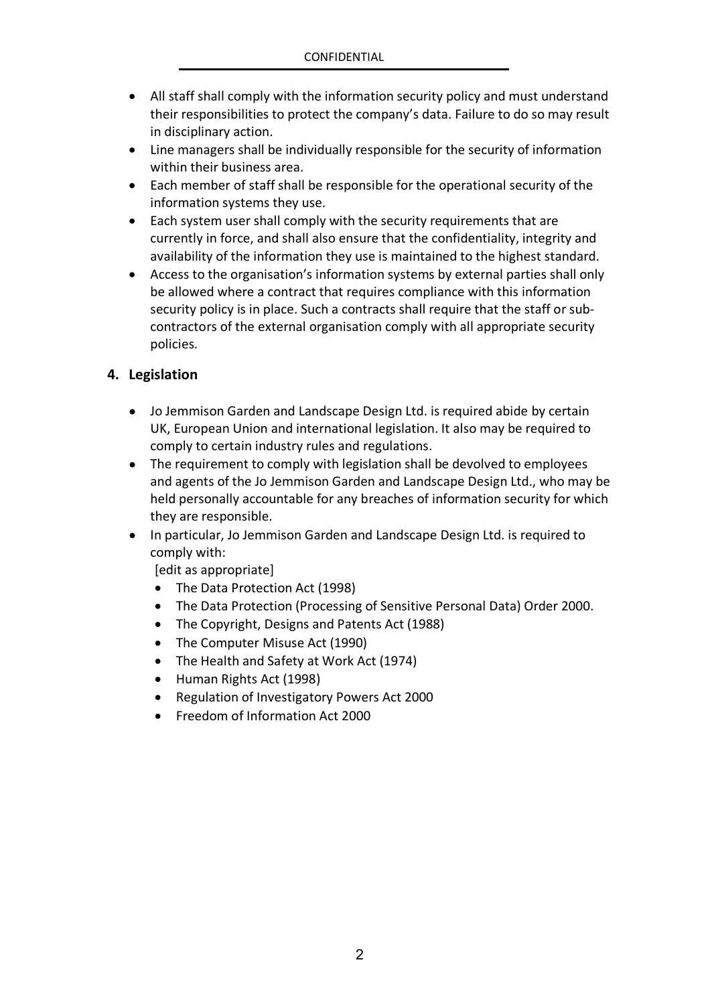- All staff shall comply with the information security policy and must understand their responsibilities to protect the company's data. Failure to do so may result in disciplinary action.
- Line managers shall be individually responsible for the security of information within their business area.
- Each member of staff shall be responsible for the operational security of the information systems they use.
- Each system user shall comply with the security requirements that are currently in force, and shall also ensure that the confidentiality, integrity and availability of the information they use is maintained to the highest standard.
- Access to the organisation's information systems by external parties shall only be allowed where a contract that requires compliance with this information security policy is in place. Such a contracts shall require that the staff or subcontractors of the external organisation comply with all appropriate security policies.

## **4. Legislation**

- Jo Jemmison Garden and Landscape Design Ltd. is required abide by certain UK, European Union and international legislation. It also may be required to comply to certain industry rules and regulations.
- The requirement to comply with legislation shall be devolved to employees and agents of the Jo Jemmison Garden and Landscape Design Ltd., who may be held personally accountable for any breaches of information security for which they are responsible.
- In particular, Jo Jemmison Garden and Landscape Design Ltd. is required to comply with:

[edit as appropriate]

- The Data Protection Act (1998)
- The Data Protection (Processing of Sensitive Personal Data) Order 2000.
- The Copyright, Designs and Patents Act (1988)
- The Computer Misuse Act (1990)
- The Health and Safety at Work Act (1974)
- Human Rights Act (1998)
- Regulation of Investigatory Powers Act 2000
- Freedom of Information Act 2000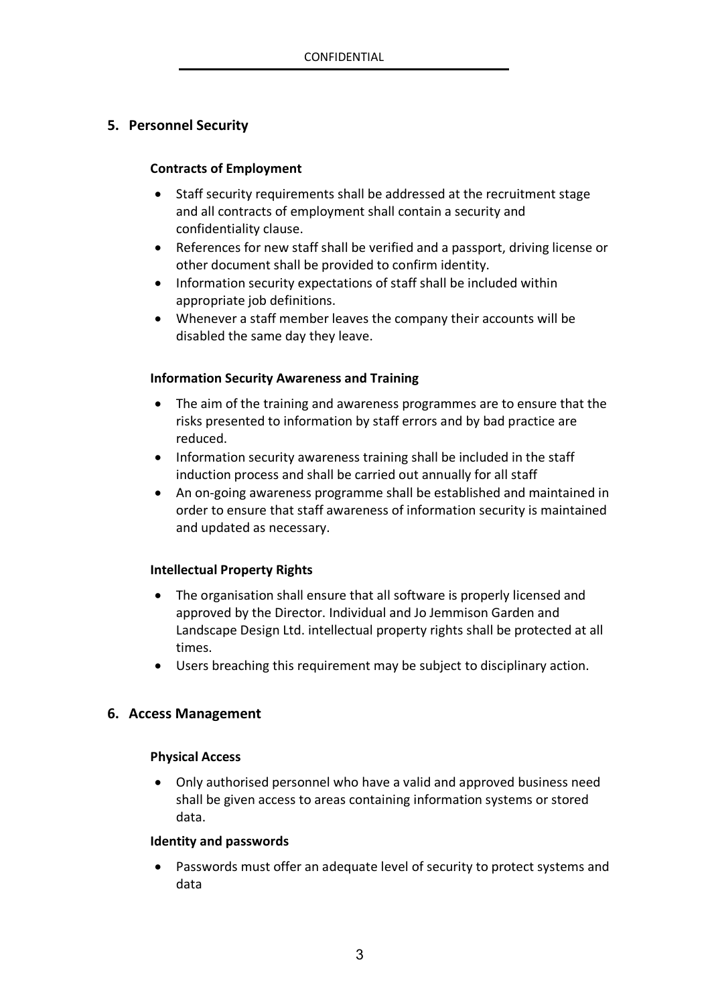## **5. Personnel Security**

#### **Contracts of Employment**

- Staff security requirements shall be addressed at the recruitment stage and all contracts of employment shall contain a security and confidentiality clause.
- References for new staff shall be verified and a passport, driving license or other document shall be provided to confirm identity.
- Information security expectations of staff shall be included within appropriate job definitions.
- Whenever a staff member leaves the company their accounts will be disabled the same day they leave.

#### **Information Security Awareness and Training**

- The aim of the training and awareness programmes are to ensure that the risks presented to information by staff errors and by bad practice are reduced.
- Information security awareness training shall be included in the staff induction process and shall be carried out annually for all staff
- An on-going awareness programme shall be established and maintained in order to ensure that staff awareness of information security is maintained and updated as necessary.

#### **Intellectual Property Rights**

- The organisation shall ensure that all software is properly licensed and approved by the Director. Individual and Jo Jemmison Garden and Landscape Design Ltd. intellectual property rights shall be protected at all times.
- Users breaching this requirement may be subject to disciplinary action.

#### **6. Access Management**

#### **Physical Access**

 Only authorised personnel who have a valid and approved business need shall be given access to areas containing information systems or stored data.

#### **Identity and passwords**

 Passwords must offer an adequate level of security to protect systems and data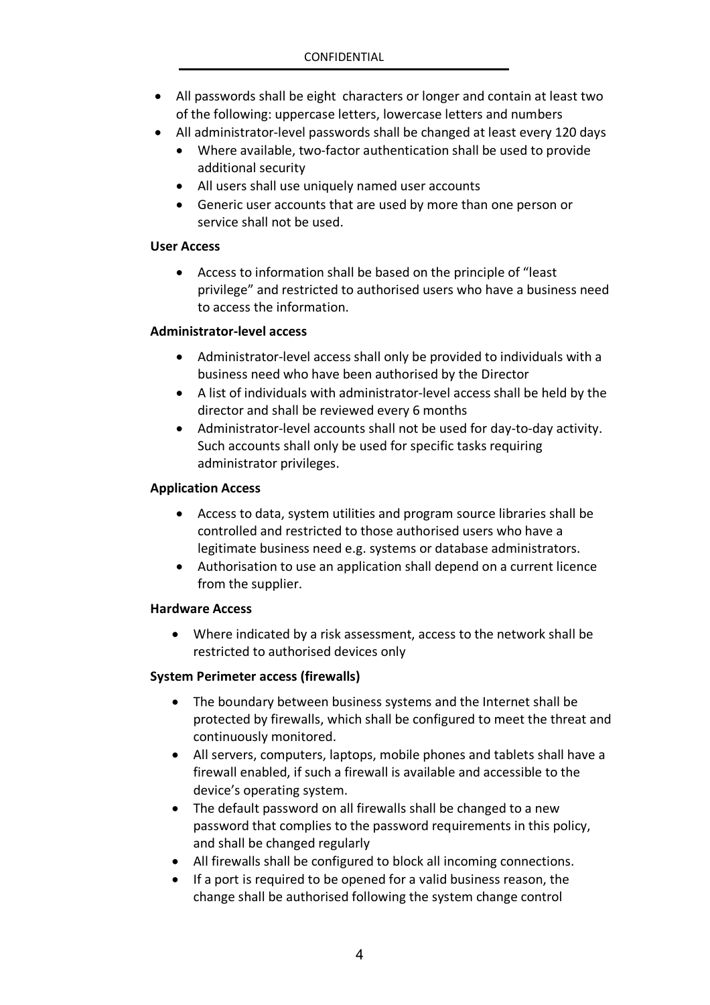- All passwords shall be eight characters or longer and contain at least two of the following: uppercase letters, lowercase letters and numbers
- All administrator-level passwords shall be changed at least every 120 days
	- Where available, two-factor authentication shall be used to provide additional security
	- All users shall use uniquely named user accounts
	- Generic user accounts that are used by more than one person or service shall not be used.

#### **User Access**

 Access to information shall be based on the principle of "least privilege" and restricted to authorised users who have a business need to access the information.

#### **Administrator-level access**

- Administrator-level access shall only be provided to individuals with a business need who have been authorised by the Director
- A list of individuals with administrator-level access shall be held by the director and shall be reviewed every 6 months
- Administrator-level accounts shall not be used for day-to-day activity. Such accounts shall only be used for specific tasks requiring administrator privileges.

#### **Application Access**

- Access to data, system utilities and program source libraries shall be controlled and restricted to those authorised users who have a legitimate business need e.g. systems or database administrators.
- Authorisation to use an application shall depend on a current licence from the supplier.

#### **Hardware Access**

 Where indicated by a risk assessment, access to the network shall be restricted to authorised devices only

#### **System Perimeter access (firewalls)**

- The boundary between business systems and the Internet shall be protected by firewalls, which shall be configured to meet the threat and continuously monitored.
- All servers, computers, laptops, mobile phones and tablets shall have a firewall enabled, if such a firewall is available and accessible to the device's operating system.
- The default password on all firewalls shall be changed to a new password that complies to the password requirements in this policy, and shall be changed regularly
- All firewalls shall be configured to block all incoming connections.
- If a port is required to be opened for a valid business reason, the change shall be authorised following the system change control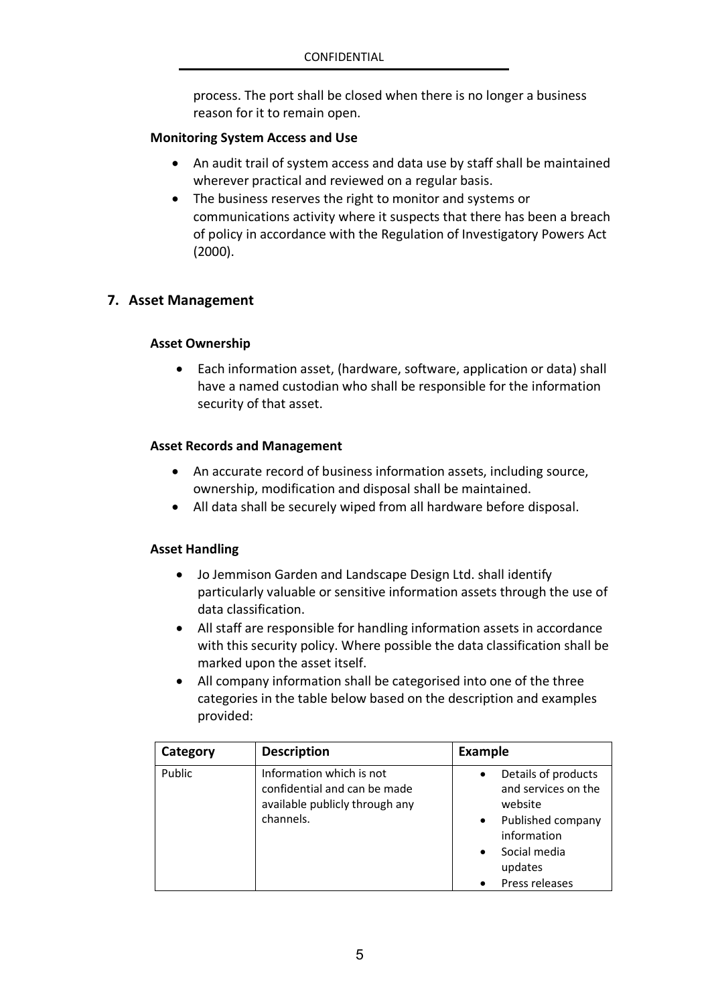process. The port shall be closed when there is no longer a business reason for it to remain open.

#### **Monitoring System Access and Use**

- An audit trail of system access and data use by staff shall be maintained wherever practical and reviewed on a regular basis.
- The business reserves the right to monitor and systems or communications activity where it suspects that there has been a breach of policy in accordance with the Regulation of Investigatory Powers Act (2000).

#### **7. Asset Management**

#### **Asset Ownership**

 Each information asset, (hardware, software, application or data) shall have a named custodian who shall be responsible for the information security of that asset.

#### **Asset Records and Management**

- An accurate record of business information assets, including source, ownership, modification and disposal shall be maintained.
- All data shall be securely wiped from all hardware before disposal.

#### **Asset Handling**

- Jo Jemmison Garden and Landscape Design Ltd. shall identify particularly valuable or sensitive information assets through the use of data classification.
- All staff are responsible for handling information assets in accordance with this security policy. Where possible the data classification shall be marked upon the asset itself.
- All company information shall be categorised into one of the three categories in the table below based on the description and examples provided:

| Category | <b>Description</b>                                                                                      | <b>Example</b>                                                                                                                                                                |
|----------|---------------------------------------------------------------------------------------------------------|-------------------------------------------------------------------------------------------------------------------------------------------------------------------------------|
| Public   | Information which is not<br>confidential and can be made<br>available publicly through any<br>channels. | Details of products<br>$\bullet$<br>and services on the<br>website<br>Published company<br>$\bullet$<br>information<br>Social media<br>$\bullet$<br>updates<br>Press releases |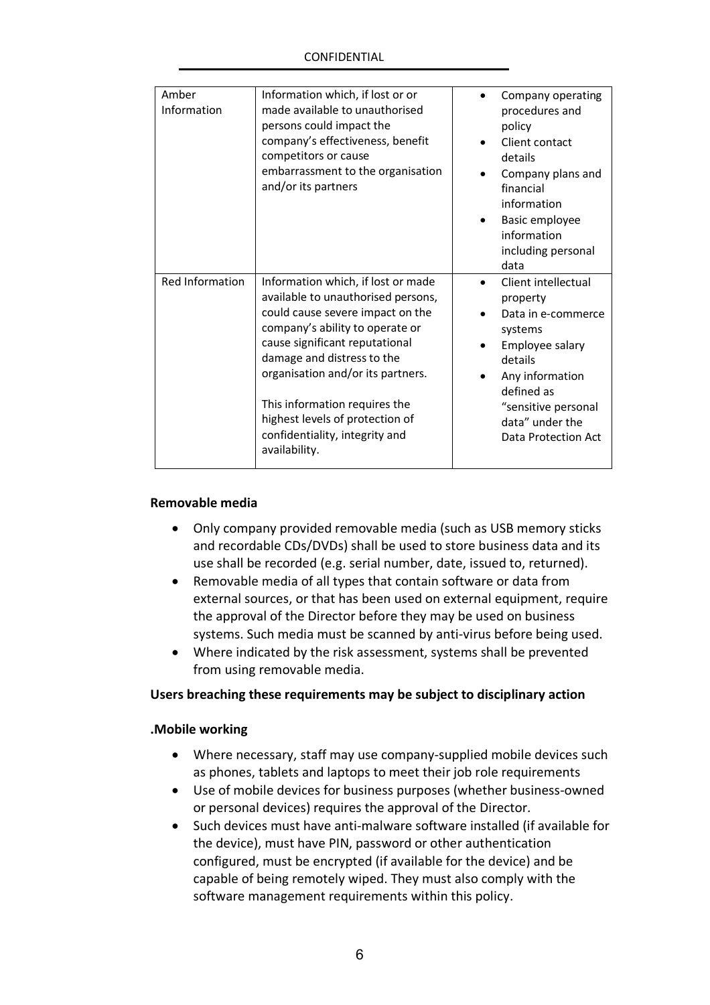| Amber           | Information which, if lost or or                                 | Company operating                      |
|-----------------|------------------------------------------------------------------|----------------------------------------|
| Information     | made available to unauthorised                                   | procedures and                         |
|                 | persons could impact the                                         | policy                                 |
|                 | company's effectiveness, benefit                                 | Client contact                         |
|                 | competitors or cause                                             | details                                |
|                 | embarrassment to the organisation                                | Company plans and                      |
|                 | and/or its partners                                              | financial                              |
|                 |                                                                  | information                            |
|                 |                                                                  | Basic employee                         |
|                 |                                                                  | information                            |
|                 |                                                                  | including personal                     |
|                 |                                                                  | data                                   |
|                 |                                                                  |                                        |
| Red Information | Information which, if lost or made                               | Client intellectual                    |
|                 | available to unauthorised persons,                               | property                               |
|                 | could cause severe impact on the                                 | Data in e-commerce                     |
|                 | company's ability to operate or                                  | systems                                |
|                 | cause significant reputational                                   | Employee salary                        |
|                 | damage and distress to the                                       | details                                |
|                 | organisation and/or its partners.                                | Any information                        |
|                 |                                                                  | defined as                             |
|                 | This information requires the<br>highest levels of protection of | "sensitive personal                    |
|                 | confidentiality, integrity and                                   | data" under the<br>Data Protection Act |
|                 | availability.                                                    |                                        |

#### **Removable media**

- Only company provided removable media (such as USB memory sticks and recordable CDs/DVDs) shall be used to store business data and its use shall be recorded (e.g. serial number, date, issued to, returned).
- Removable media of all types that contain software or data from external sources, or that has been used on external equipment, require the approval of the Director before they may be used on business systems. Such media must be scanned by anti-virus before being used.
- Where indicated by the risk assessment, systems shall be prevented from using removable media.

#### **Users breaching these requirements may be subject to disciplinary action**

#### **.Mobile working**

- Where necessary, staff may use company-supplied mobile devices such as phones, tablets and laptops to meet their job role requirements
- Use of mobile devices for business purposes (whether business-owned or personal devices) requires the approval of the Director.
- Such devices must have anti-malware software installed (if available for the device), must have PIN, password or other authentication configured, must be encrypted (if available for the device) and be capable of being remotely wiped. They must also comply with the software management requirements within this policy.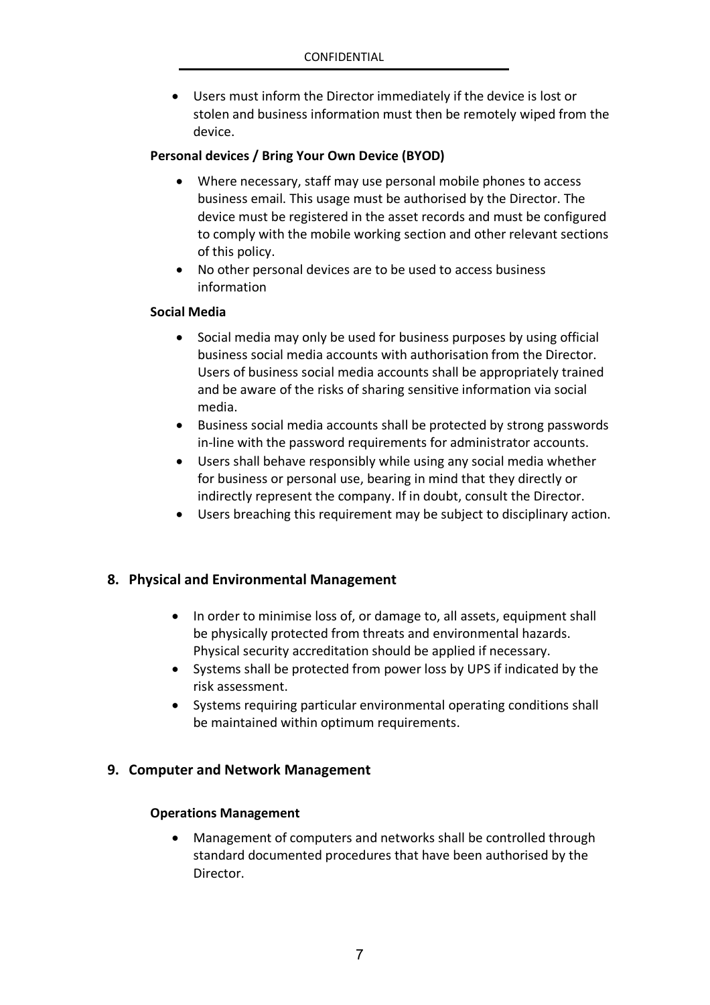Users must inform the Director immediately if the device is lost or stolen and business information must then be remotely wiped from the device.

#### **Personal devices / Bring Your Own Device (BYOD)**

- Where necessary, staff may use personal mobile phones to access business email. This usage must be authorised by the Director. The device must be registered in the asset records and must be configured to comply with the mobile working section and other relevant sections of this policy.
- No other personal devices are to be used to access business information

#### **Social Media**

- Social media may only be used for business purposes by using official business social media accounts with authorisation from the Director. Users of business social media accounts shall be appropriately trained and be aware of the risks of sharing sensitive information via social media.
- Business social media accounts shall be protected by strong passwords in-line with the password requirements for administrator accounts.
- Users shall behave responsibly while using any social media whether for business or personal use, bearing in mind that they directly or indirectly represent the company. If in doubt, consult the Director.
- Users breaching this requirement may be subject to disciplinary action.

#### **8. Physical and Environmental Management**

- In order to minimise loss of, or damage to, all assets, equipment shall be physically protected from threats and environmental hazards. Physical security accreditation should be applied if necessary.
- Systems shall be protected from power loss by UPS if indicated by the risk assessment.
- Systems requiring particular environmental operating conditions shall be maintained within optimum requirements.

#### **9. Computer and Network Management**

#### **Operations Management**

 Management of computers and networks shall be controlled through standard documented procedures that have been authorised by the Director.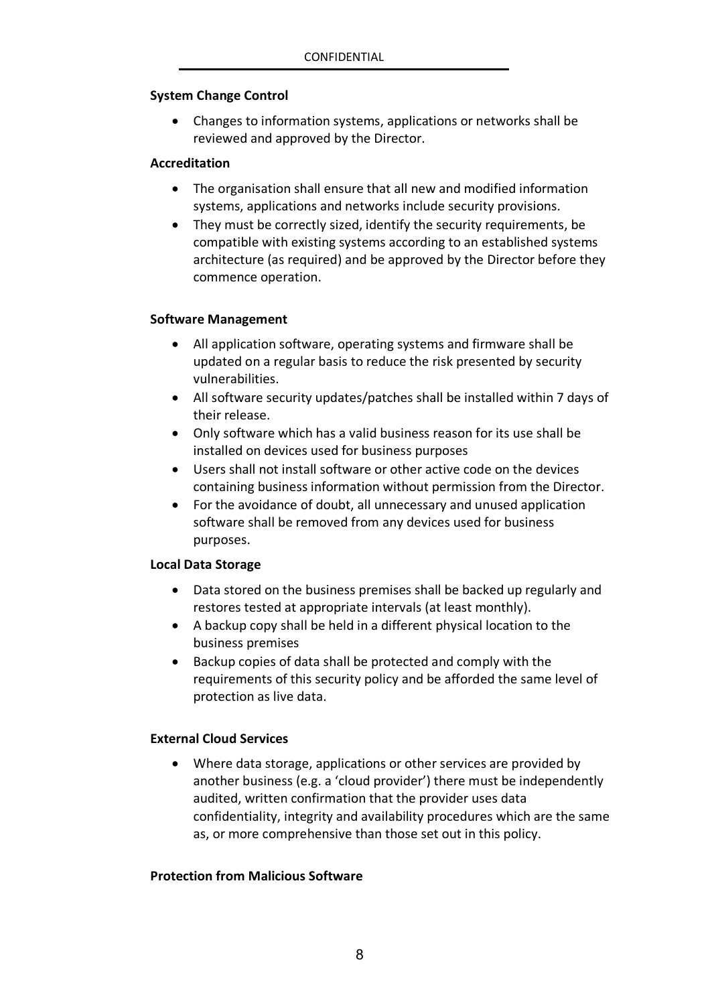#### **System Change Control**

 Changes to information systems, applications or networks shall be reviewed and approved by the Director.

#### **Accreditation**

- The organisation shall ensure that all new and modified information systems, applications and networks include security provisions.
- They must be correctly sized, identify the security requirements, be compatible with existing systems according to an established systems architecture (as required) and be approved by the Director before they commence operation.

#### **Software Management**

- All application software, operating systems and firmware shall be updated on a regular basis to reduce the risk presented by security vulnerabilities.
- All software security updates/patches shall be installed within 7 days of their release.
- Only software which has a valid business reason for its use shall be installed on devices used for business purposes
- Users shall not install software or other active code on the devices containing business information without permission from the Director.
- For the avoidance of doubt, all unnecessary and unused application software shall be removed from any devices used for business purposes.

#### **Local Data Storage**

- Data stored on the business premises shall be backed up regularly and restores tested at appropriate intervals (at least monthly).
- A backup copy shall be held in a different physical location to the business premises
- Backup copies of data shall be protected and comply with the requirements of this security policy and be afforded the same level of protection as live data.

#### **External Cloud Services**

 Where data storage, applications or other services are provided by another business (e.g. a 'cloud provider') there must be independently audited, written confirmation that the provider uses data confidentiality, integrity and availability procedures which are the same as, or more comprehensive than those set out in this policy.

#### **Protection from Malicious Software**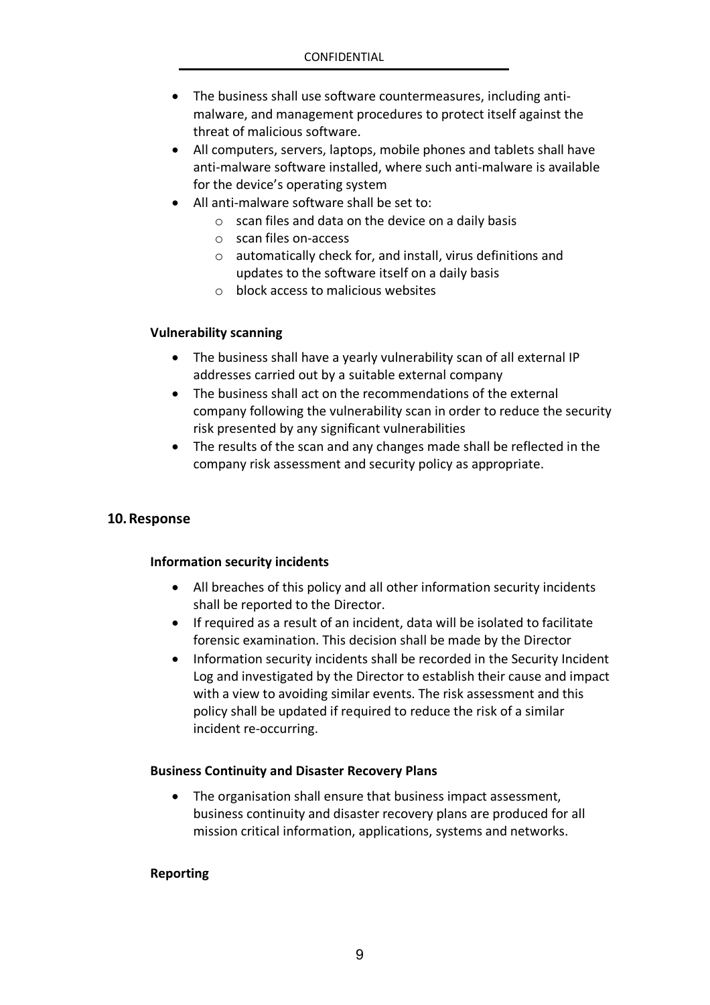- The business shall use software countermeasures, including antimalware, and management procedures to protect itself against the threat of malicious software.
- All computers, servers, laptops, mobile phones and tablets shall have anti-malware software installed, where such anti-malware is available for the device's operating system
- All anti-malware software shall be set to:
	- $\circ$  scan files and data on the device on a daily basis
	- o scan files on-access
	- o automatically check for, and install, virus definitions and updates to the software itself on a daily basis
	- o block access to malicious websites

#### **Vulnerability scanning**

- The business shall have a yearly vulnerability scan of all external IP addresses carried out by a suitable external company
- The business shall act on the recommendations of the external company following the vulnerability scan in order to reduce the security risk presented by any significant vulnerabilities
- The results of the scan and any changes made shall be reflected in the company risk assessment and security policy as appropriate.

#### **10.Response**

#### **Information security incidents**

- All breaches of this policy and all other information security incidents shall be reported to the Director.
- If required as a result of an incident, data will be isolated to facilitate forensic examination. This decision shall be made by the Director
- Information security incidents shall be recorded in the Security Incident Log and investigated by the Director to establish their cause and impact with a view to avoiding similar events. The risk assessment and this policy shall be updated if required to reduce the risk of a similar incident re-occurring.

#### **Business Continuity and Disaster Recovery Plans**

 The organisation shall ensure that business impact assessment, business continuity and disaster recovery plans are produced for all mission critical information, applications, systems and networks.

#### **Reporting**